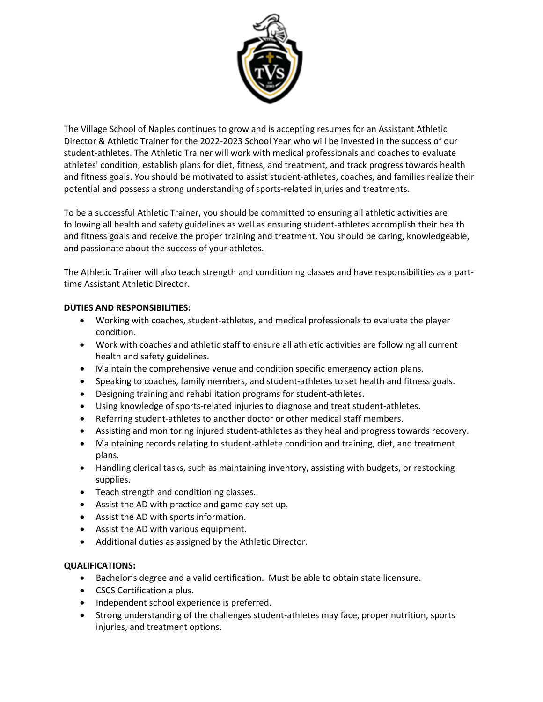

The Village School of Naples continues to grow and is accepting resumes for an Assistant Athletic Director & Athletic Trainer for the 2022-2023 School Year who will be invested in the success of our student-athletes. The Athletic Trainer will work with medical professionals and coaches to evaluate athletes' condition, establish plans for diet, fitness, and treatment, and track progress towards health and fitness goals. You should be motivated to assist student-athletes, coaches, and families realize their potential and possess a strong understanding of sports-related injuries and treatments.

To be a successful Athletic Trainer, you should be committed to ensuring all athletic activities are following all health and safety guidelines as well as ensuring student-athletes accomplish their health and fitness goals and receive the proper training and treatment. You should be caring, knowledgeable, and passionate about the success of your athletes.

The Athletic Trainer will also teach strength and conditioning classes and have responsibilities as a parttime Assistant Athletic Director.

# **DUTIES AND RESPONSIBILITIES:**

- Working with coaches, student-athletes, and medical professionals to evaluate the player condition.
- Work with coaches and athletic staff to ensure all athletic activities are following all current health and safety guidelines.
- Maintain the comprehensive venue and condition specific emergency action plans.
- Speaking to coaches, family members, and student-athletes to set health and fitness goals.
- Designing training and rehabilitation programs for student-athletes.
- Using knowledge of sports-related injuries to diagnose and treat student-athletes.
- Referring student-athletes to another doctor or other medical staff members.
- Assisting and monitoring injured student-athletes as they heal and progress towards recovery.
- Maintaining records relating to student-athlete condition and training, diet, and treatment plans.
- Handling clerical tasks, such as maintaining inventory, assisting with budgets, or restocking supplies.
- Teach strength and conditioning classes.
- Assist the AD with practice and game day set up.
- Assist the AD with sports information.
- Assist the AD with various equipment.
- Additional duties as assigned by the Athletic Director.

### **QUALIFICATIONS:**

- Bachelor's degree and a valid certification. Must be able to obtain state licensure.
- CSCS Certification a plus.
- Independent school experience is preferred.
- Strong understanding of the challenges student-athletes may face, proper nutrition, sports injuries, and treatment options.